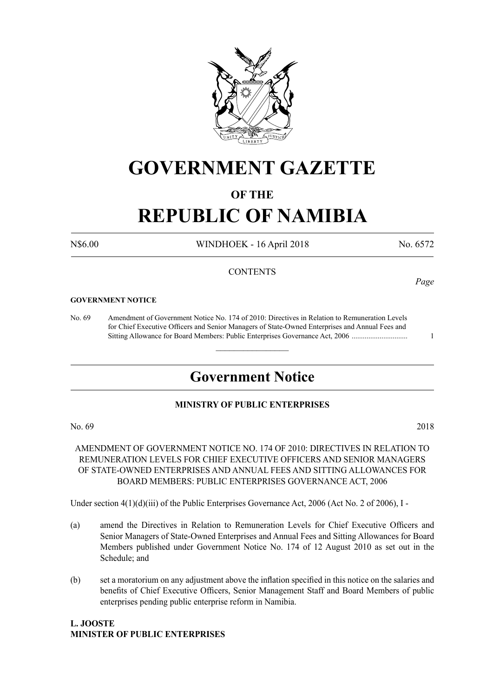

## **GOVERNMENT GAZETTE**

#### **OF THE**

# **REPUBLIC OF NAMIBIA**

N\$6.00 WINDHOEK - 16 April 2018 No. 6572

*Page*

#### **CONTENTS**

#### **GOVERNMENT NOTICE**

No. 69 Amendment of Government Notice No. 174 of 2010: Directives in Relation to Remuneration Levels for Chief Executive Officers and Senior Managers of State-Owned Enterprises and Annual Fees and Sitting Allowance for Board Members: Public Enterprises Governance Act, 2006 .............................. 1

### **Government Notice**

 $\overline{\phantom{a}}$  , where  $\overline{\phantom{a}}$ 

#### **MINISTRY OF PUBLIC ENTERPRISES**

No. 69 2018

AMENDMENT OF GOVERNMENT NOTICE NO. 174 OF 2010: DIRECTIVES IN RELATION TO REMUNERATION LEVELS FOR CHIEF EXECUTIVE OFFICERS AND SENIOR MANAGERS OF STATE-OWNED ENTERPRISES AND ANNUAL FEES AND SITTING ALLOWANCES FOR BOARD MEMBERS: PUBLIC ENTERPRISES GOVERNANCE ACT, 2006

Under section  $4(1)(d)(iii)$  of the Public Enterprises Governance Act, 2006 (Act No. 2 of 2006), I -

- (a) amend the Directives in Relation to Remuneration Levels for Chief Executive Officers and Senior Managers of State-Owned Enterprises and Annual Fees and Sitting Allowances for Board Members published under Government Notice No. 174 of 12 August 2010 as set out in the Schedule; and
- (b) set a moratorium on any adjustment above the inflation specified in this notice on the salaries and benefits of Chief Executive Officers, Senior Management Staff and Board Members of public enterprises pending public enterprise reform in Namibia.

#### **L. Jooste Minister of Public Enterprises**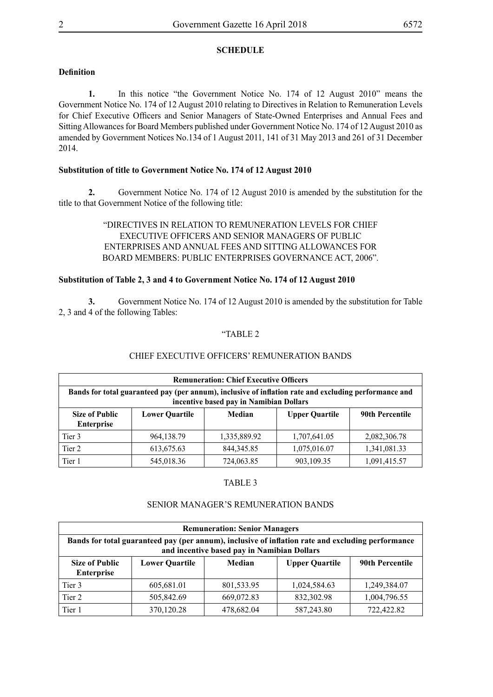#### **SCHEDULE**

#### **Definition**

**1.** In this notice "the Government Notice No. 174 of 12 August 2010" means the Government Notice No. 174 of 12 August 2010 relating to Directives in Relation to Remuneration Levels for Chief Executive Officers and Senior Managers of State-Owned Enterprises and Annual Fees and Sitting Allowances for Board Members published under Government Notice No. 174 of 12 August 2010 as amended by Government Notices No.134 of 1 August 2011, 141 of 31 May 2013 and 261 of 31 December 2014.

#### **Substitution of title to Government Notice No. 174 of 12 August 2010**

**2.** Government Notice No. 174 of 12 August 2010 is amended by the substitution for the title to that Government Notice of the following title:

> "DIRECTIVES IN RELATION TO REMUNERATION LEVELS FOR CHIEF EXECUTIVE OFFICERS AND SENIOR MANAGERS OF PUBLIC ENTERPRISES AND ANNUAL FEES AND SITTING ALLOWANCES FOR BOARD MEMBERS: PUBLIC ENTERPRISES GOVERNANCE ACT, 2006".

#### **Substitution of Table 2, 3 and 4 to Government Notice No. 174 of 12 August 2010**

**3.** Government Notice No. 174 of 12 August 2010 is amended by the substitution for Table 2, 3 and 4 of the following Tables:

#### "TABLE 2

#### CHIEF EXECUTIVE OFFICERS' REMUNERATION BANDS

| <b>Remuneration: Chief Executive Officers</b>                                                                                                    |                       |              |                       |                        |  |  |
|--------------------------------------------------------------------------------------------------------------------------------------------------|-----------------------|--------------|-----------------------|------------------------|--|--|
| Bands for total guaranteed pay (per annum), inclusive of inflation rate and excluding performance and<br>incentive based pay in Namibian Dollars |                       |              |                       |                        |  |  |
| <b>Size of Public</b><br><b>Enterprise</b>                                                                                                       | <b>Lower Quartile</b> | Median       | <b>Upper Quartile</b> | <b>90th Percentile</b> |  |  |
| Tier 3                                                                                                                                           | 964, 138. 79          | 1,335,889.92 | 1,707,641.05          | 2,082,306.78           |  |  |
| Tier 2                                                                                                                                           | 613, 675. 63          | 844, 345. 85 | 1,075,016.07          | 1,341,081.33           |  |  |
| Tier 1                                                                                                                                           | 545,018.36            | 724,063.85   | 903,109.35            | 1,091,415.57           |  |  |

#### TABLE 3

#### SENIOR MANAGER'S REMUNERATION BANDS

| <b>Remuneration: Senior Managers</b>                                                                                                             |                       |            |                       |                        |  |
|--------------------------------------------------------------------------------------------------------------------------------------------------|-----------------------|------------|-----------------------|------------------------|--|
| Bands for total guaranteed pay (per annum), inclusive of inflation rate and excluding performance<br>and incentive based pay in Namibian Dollars |                       |            |                       |                        |  |
| <b>Size of Public</b><br><b>Enterprise</b>                                                                                                       | <b>Lower Quartile</b> | Median     | <b>Upper Quartile</b> | <b>90th Percentile</b> |  |
| Tier 3                                                                                                                                           | 605,681.01            | 801,533.95 | 1,024,584.63          | 1,249,384.07           |  |
| Tier 2                                                                                                                                           | 505,842.69            | 669,072.83 | 832,302.98            | 1,004,796.55           |  |
| Tier 1                                                                                                                                           | 370,120.28            | 478,682.04 | 587,243.80            | 722,422.82             |  |